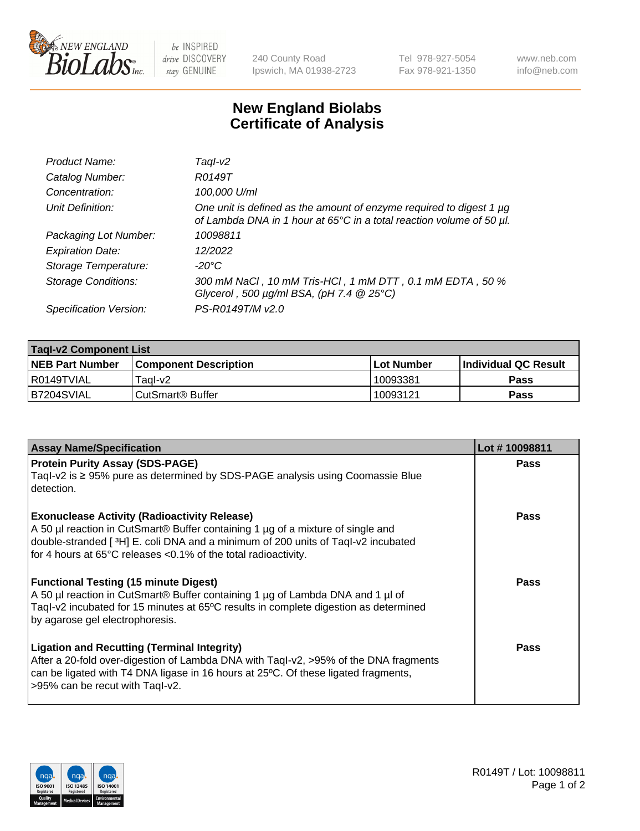

 $be$  INSPIRED drive DISCOVERY stay GENUINE

240 County Road Ipswich, MA 01938-2723 Tel 978-927-5054 Fax 978-921-1350 www.neb.com info@neb.com

## **New England Biolabs Certificate of Analysis**

| Product Name:              | Taql-v2                                                                                                                                     |
|----------------------------|---------------------------------------------------------------------------------------------------------------------------------------------|
| Catalog Number:            | R0149T                                                                                                                                      |
| Concentration:             | 100,000 U/ml                                                                                                                                |
| Unit Definition:           | One unit is defined as the amount of enzyme required to digest 1 µg<br>of Lambda DNA in 1 hour at 65°C in a total reaction volume of 50 µl. |
| Packaging Lot Number:      | 10098811                                                                                                                                    |
| <b>Expiration Date:</b>    | 12/2022                                                                                                                                     |
| Storage Temperature:       | $-20^{\circ}$ C                                                                                                                             |
| <b>Storage Conditions:</b> | 300 mM NaCl, 10 mM Tris-HCl, 1 mM DTT, 0.1 mM EDTA, 50 %<br>Glycerol, 500 $\mu$ g/ml BSA, (pH 7.4 $@25°C$ )                                 |
| Specification Version:     | PS-R0149T/M v2.0                                                                                                                            |

| <b>Tagl-v2 Component List</b> |                         |              |                             |  |  |
|-------------------------------|-------------------------|--------------|-----------------------------|--|--|
| <b>NEB Part Number</b>        | l Component Description | l Lot Number | <b>Individual QC Result</b> |  |  |
| I R0149TVIAL                  | Tagl-v2                 | 10093381     | Pass                        |  |  |
| IB7204SVIAL                   | l CutSmart® Buffer_     | 10093121     | Pass                        |  |  |

| <b>Assay Name/Specification</b>                                                                                                                                                                                                                                                              | Lot #10098811 |
|----------------------------------------------------------------------------------------------------------------------------------------------------------------------------------------------------------------------------------------------------------------------------------------------|---------------|
| <b>Protein Purity Assay (SDS-PAGE)</b><br>Taql-v2 is ≥ 95% pure as determined by SDS-PAGE analysis using Coomassie Blue<br>detection.                                                                                                                                                        | <b>Pass</b>   |
| <b>Exonuclease Activity (Radioactivity Release)</b><br>A 50 µl reaction in CutSmart® Buffer containing 1 µg of a mixture of single and<br>double-stranded [3H] E. coli DNA and a minimum of 200 units of Taql-v2 incubated<br>for 4 hours at 65°C releases <0.1% of the total radioactivity. | Pass          |
| <b>Functional Testing (15 minute Digest)</b><br>A 50 µl reaction in CutSmart® Buffer containing 1 µg of Lambda DNA and 1 µl of<br>Tagl-v2 incubated for 15 minutes at 65°C results in complete digestion as determined<br>by agarose gel electrophoresis.                                    | Pass          |
| <b>Ligation and Recutting (Terminal Integrity)</b><br>After a 20-fold over-digestion of Lambda DNA with Taql-v2, >95% of the DNA fragments<br>can be ligated with T4 DNA ligase in 16 hours at 25°C. Of these ligated fragments,<br>>95% can be recut with Tagl-v2.                          | <b>Pass</b>   |